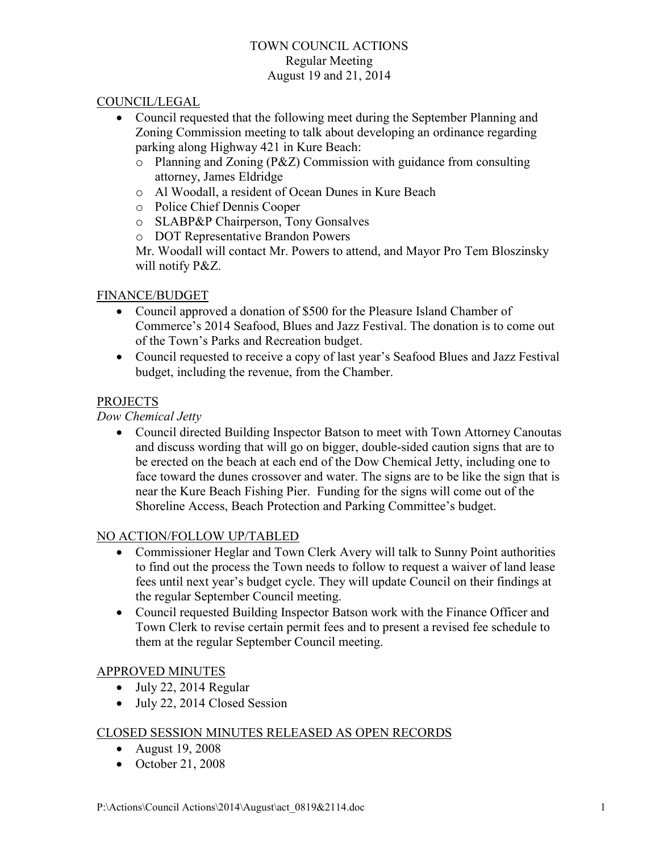### TOWN COUNCIL ACTIONS Regular Meeting August 19 and 21, 2014

### COUNCIL/LEGAL

- Council requested that the following meet during the September Planning and Zoning Commission meeting to talk about developing an ordinance regarding parking along Highway 421 in Kure Beach:
	- o Planning and Zoning (P&Z) Commission with guidance from consulting attorney, James Eldridge
	- o Al Woodall, a resident of Ocean Dunes in Kure Beach
	- o Police Chief Dennis Cooper
	- o SLABP&P Chairperson, Tony Gonsalves
	- o DOT Representative Brandon Powers

Mr. Woodall will contact Mr. Powers to attend, and Mayor Pro Tem Bloszinsky will notify P&Z.

# FINANCE/BUDGET

- Council approved a donation of \$500 for the Pleasure Island Chamber of Commerce's 2014 Seafood, Blues and Jazz Festival. The donation is to come out of the Town's Parks and Recreation budget.
- Council requested to receive a copy of last year's Seafood Blues and Jazz Festival budget, including the revenue, from the Chamber.

# PROJECTS

# *Dow Chemical Jetty*

• Council directed Building Inspector Batson to meet with Town Attorney Canoutas and discuss wording that will go on bigger, double-sided caution signs that are to be erected on the beach at each end of the Dow Chemical Jetty, including one to face toward the dunes crossover and water. The signs are to be like the sign that is near the Kure Beach Fishing Pier. Funding for the signs will come out of the Shoreline Access, Beach Protection and Parking Committee's budget.

### NO ACTION/FOLLOW UP/TABLED

- Commissioner Heglar and Town Clerk Avery will talk to Sunny Point authorities to find out the process the Town needs to follow to request a waiver of land lease fees until next year's budget cycle. They will update Council on their findings at the regular September Council meeting.
- Council requested Building Inspector Batson work with the Finance Officer and Town Clerk to revise certain permit fees and to present a revised fee schedule to them at the regular September Council meeting.

### APPROVED MINUTES

- July 22, 2014 Regular
- July 22, 2014 Closed Session

### CLOSED SESSION MINUTES RELEASED AS OPEN RECORDS

- August 19, 2008
- October 21, 2008